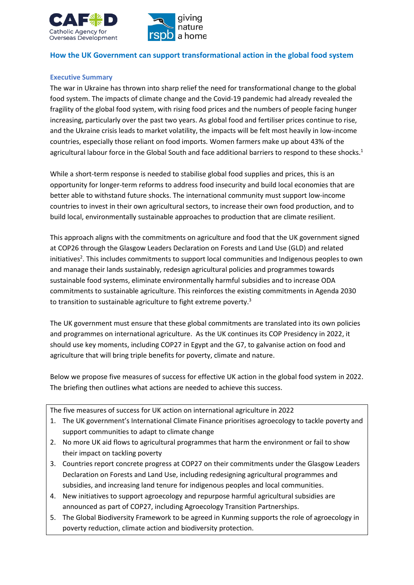



## **How the UK Government can support transformational action in the global food system**

### **Executive Summary**

The war in Ukraine has thrown into sharp relief the need for transformational change to the global food system. The impacts of climate change and the Covid-19 pandemic had already revealed the fragility of the global food system, with rising food prices and the numbers of people facing hunger increasing, particularly over the past two years. As global food and fertiliser prices continue to rise, and the Ukraine crisis leads to market volatility, the impacts will be felt most heavily in low-income countries, especially those reliant on food imports. Women farmers make up about 43% of the agricultural labour force in the Global South and face additional barriers to respond to these shocks.<sup>1</sup>

While a short-term response is needed to stabilise global food supplies and prices, this is an opportunity for longer-term reforms to address food insecurity and build local economies that are better able to withstand future shocks. The international community must support low-income countries to invest in their own agricultural sectors, to increase their own food production, and to build local, environmentally sustainable approaches to production that are climate resilient.

This approach aligns with the commitments on agriculture and food that the UK government signed at COP26 through the Glasgow Leaders Declaration on Forests and Land Use (GLD) and related initiatives<sup>2</sup>. This includes commitments to support local communities and Indigenous peoples to own and manage their lands sustainably, redesign agricultural policies and programmes towards sustainable food systems, eliminate environmentally harmful subsidies and to increase ODA commitments to sustainable agriculture. This reinforces the existing commitments in Agenda 2030 to transition to sustainable agriculture to fight extreme poverty.<sup>3</sup>

The UK government must ensure that these global commitments are translated into its own policies and programmes on international agriculture. As the UK continues its COP Presidency in 2022, it should use key moments, including COP27 in Egypt and the G7, to galvanise action on food and agriculture that will bring triple benefits for poverty, climate and nature.

Below we propose five measures of success for effective UK action in the global food system in 2022. The briefing then outlines what actions are needed to achieve this success.

The five measures of success for UK action on international agriculture in 2022

- 1. The UK government's International Climate Finance prioritises agroecology to tackle poverty and support communities to adapt to climate change
- 2. No more UK aid flows to agricultural programmes that harm the environment or fail to show their impact on tackling poverty
- 3. Countries report concrete progress at COP27 on their commitments under the Glasgow Leaders Declaration on Forests and Land Use, including redesigning agricultural programmes and subsidies, and increasing land tenure for indigenous peoples and local communities.
- 4. New initiatives to support agroecology and repurpose harmful agricultural subsidies are announced as part of COP27, including Agroecology Transition Partnerships.
- 5. The Global Biodiversity Framework to be agreed in Kunming supports the role of agroecology in poverty reduction, climate action and biodiversity protection.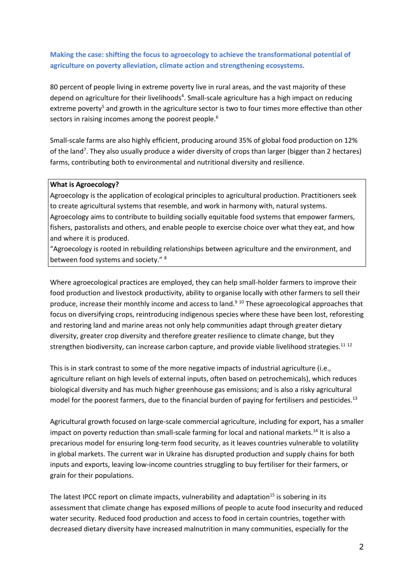# **Making the case: shifting the focus to agroecology to achieve the transformational potential of agriculture on poverty alleviation, climate action and strengthening ecosystems.**

80 percent of people living in extreme poverty live in rural areas, and the vast majority of these depend on agriculture for their livelihoods<sup>4</sup>. Small-scale agriculture has a high impact on reducing extreme poverty<sup>5</sup> and growth in the agriculture sector is two to four times more effective than other sectors in raising incomes among the poorest people.<sup>6</sup>

Small-scale farms are also highly efficient, producing around 35% of global food production on 12% of the land<sup>7</sup>. They also usually produce a wider diversity of crops than larger (bigger than 2 hectares) farms, contributing both to environmental and nutritional diversity and resilience.

#### **What is Agroecology?**

Agroecology is the application of ecological principles to agricultural production. Practitioners seek to create agricultural systems that resemble, and work in harmony with, natural systems. Agroecology aims to contribute to building socially equitable food systems that empower farmers, fishers, pastoralists and others, and enable people to exercise choice over what they eat, and how and where it is produced.

"Agroecology is rooted in rebuilding relationships between agriculture and the environment, and between food systems and society." <sup>8</sup>

Where agroecological practices are employed, they can help small-holder farmers to improve their food production and livestock productivity, ability to organise locally with other farmers to sell their produce, increase their monthly income and access to land.<sup>9 10</sup> These agroecological approaches that focus on diversifying crops, reintroducing indigenous species where these have been lost, reforesting and restoring land and marine areas not only help communities adapt through greater dietary diversity, greater crop diversity and therefore greater resilience to climate change, but they strengthen biodiversity, can increase carbon capture, and provide viable livelihood strategies.<sup>11 12</sup>

This is in stark contrast to some of the more negative impacts of industrial agriculture (i.e., agriculture reliant on high levels of external inputs, often based on petrochemicals), which reduces biological diversity and has much higher greenhouse gas emissions; and is also a risky agricultural model for the poorest farmers, due to the financial burden of paying for fertilisers and pesticides.<sup>13</sup>

Agricultural growth focused on large-scale commercial agriculture, including for export, has a smaller impact on poverty reduction than small-scale farming for local and national markets.<sup>14</sup> It is also a precarious model for ensuring long-term food security, as it leaves countries vulnerable to volatility in global markets. The current war in Ukraine has disrupted production and supply chains for both inputs and exports, leaving low-income countries struggling to buy fertiliser for their farmers, or grain for their populations.

The latest IPCC report on climate impacts, vulnerability and adaptation<sup>15</sup> is sobering in its assessment that climate change has exposed millions of people to acute food insecurity and reduced water security. Reduced food production and access to food in certain countries, together with decreased dietary diversity have increased malnutrition in many communities, especially for the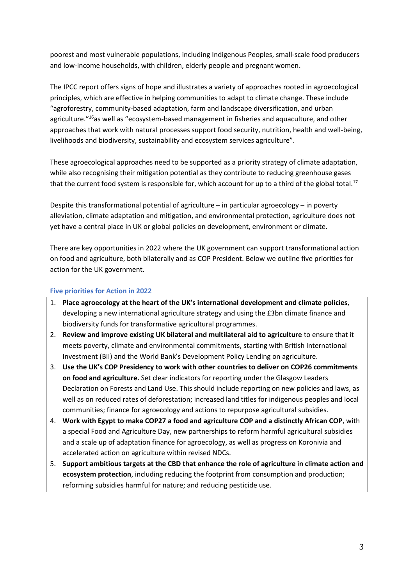poorest and most vulnerable populations, including Indigenous Peoples, small-scale food producers and low-income households, with children, elderly people and pregnant women.

The IPCC report offers signs of hope and illustrates a variety of approaches rooted in agroecological principles, which are effective in helping communities to adapt to climate change. These include "agroforestry, community-based adaptation, farm and landscape diversification, and urban agriculture.<sup>"16</sup>as well as "ecosystem-based management in fisheries and aquaculture, and other approaches that work with natural processes support food security, nutrition, health and well-being, livelihoods and biodiversity, sustainability and ecosystem services agriculture".

These agroecological approaches need to be supported as a priority strategy of climate adaptation, while also recognising their mitigation potential as they contribute to reducing greenhouse gases that the current food system is responsible for, which account for up to a third of the global total.<sup>17</sup>

Despite this transformational potential of agriculture – in particular agroecology – in poverty alleviation, climate adaptation and mitigation, and environmental protection, agriculture does not yet have a central place in UK or global policies on development, environment or climate.

There are key opportunities in 2022 where the UK government can support transformational action on food and agriculture, both bilaterally and as COP President. Below we outline five priorities for action for the UK government.

## **Five priorities for Action in 2022**

- 1. **Place agroecology at the heart of the UK's international development and climate policies**, developing a new international agriculture strategy and using the £3bn climate finance and biodiversity funds for transformative agricultural programmes.
- 2. **Review and improve existing UK bilateral and multilateral aid to agriculture** to ensure that it meets poverty, climate and environmental commitments, starting with British International Investment (BII) and the World Bank's Development Policy Lending on agriculture.
- 3. **Use the UK's COP Presidency to work with other countries to deliver on COP26 commitments on food and agriculture.** Set clear indicators for reporting under the Glasgow Leaders Declaration on Forests and Land Use. This should include reporting on new policies and laws, as well as on reduced rates of deforestation; increased land titles for indigenous peoples and local communities; finance for agroecology and actions to repurpose agricultural subsidies.
- 4. **Work with Egypt to make COP27 a food and agriculture COP and a distinctly African COP**, with a special Food and Agriculture Day, new partnerships to reform harmful agricultural subsidies and a scale up of adaptation finance for agroecology, as well as progress on Koronivia and accelerated action on agriculture within revised NDCs.
- 5. **Support ambitious targets at the CBD that enhance the role of agriculture in climate action and ecosystem protection**, including reducing the footprint from consumption and production; reforming subsidies harmful for nature; and reducing pesticide use.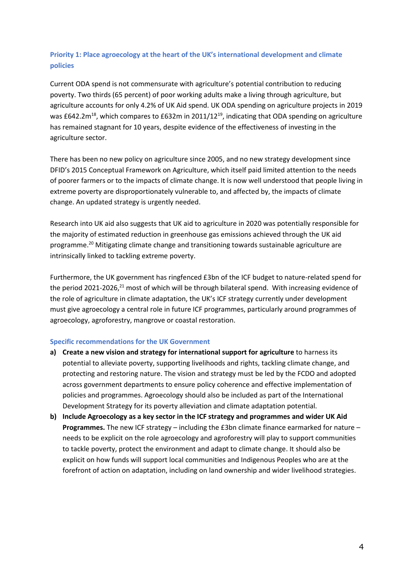# **Priority 1: Place agroecology at the heart of the UK's international development and climate policies**

Current ODA spend is not commensurate with agriculture's potential contribution to reducing poverty. Two thirds (65 percent) of poor working adults make a living through agriculture, but agriculture accounts for only 4.2% of UK Aid spend. UK ODA spending on agriculture projects in 2019 was £642.2 $m^{18}$ , which compares to £632m in 2011/12<sup>19</sup>, indicating that ODA spending on agriculture has remained stagnant for 10 years, despite evidence of the effectiveness of investing in the agriculture sector.

There has been no new policy on agriculture since 2005, and no new strategy development since DFID's 2015 Conceptual Framework on Agriculture, which itself paid limited attention to the needs of poorer farmers or to the impacts of climate change. It is now well understood that people living in extreme poverty are disproportionately vulnerable to, and affected by, the impacts of climate change. An updated strategy is urgently needed.

Research into UK aid also suggests that UK aid to agriculture in 2020 was potentially responsible for the majority of estimated reduction in greenhouse gas emissions achieved through the UK aid programme.<sup>20</sup> Mitigating climate change and transitioning towards sustainable agriculture are intrinsically linked to tackling extreme poverty.

Furthermore, the UK government has ringfenced £3bn of the ICF budget to nature-related spend for the period 2021-2026,<sup>21</sup> most of which will be through bilateral spend. With increasing evidence of the role of agriculture in climate adaptation, the UK's ICF strategy currently under development must give agroecology a central role in future ICF programmes, particularly around programmes of agroecology, agroforestry, mangrove or coastal restoration.

#### **Specific recommendations for the UK Government**

- **a) Create a new vision and strategy for international support for agriculture** to harness its potential to alleviate poverty, supporting livelihoods and rights, tackling climate change, and protecting and restoring nature. The vision and strategy must be led by the FCDO and adopted across government departments to ensure policy coherence and effective implementation of policies and programmes. Agroecology should also be included as part of the International Development Strategy for its poverty alleviation and climate adaptation potential.
- **b) Include Agroecology as a key sector in the ICF strategy and programmes and wider UK Aid Programmes.** The new ICF strategy – including the £3bn climate finance earmarked for nature – needs to be explicit on the role agroecology and agroforestry will play to support communities to tackle poverty, protect the environment and adapt to climate change. It should also be explicit on how funds will support local communities and Indigenous Peoples who are at the forefront of action on adaptation, including on land ownership and wider livelihood strategies.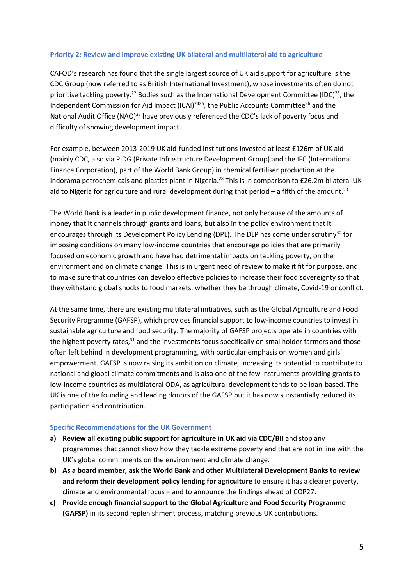#### **Priority 2: Review and improve existing UK bilateral and multilateral aid to agriculture**

CAFOD's research has found that the single largest source of UK aid support for agriculture is the CDC Group (now referred to as British International Investment), whose investments often do not prioritise tackling poverty.<sup>22</sup> Bodies such as the International Development Committee (IDC)<sup>23</sup>, the Independent Commission for Aid Impact (ICAI) $^{2425}$ , the Public Accounts Committee<sup>26</sup> and the National Audit Office (NAO)<sup>27</sup> have previously referenced the CDC's lack of poverty focus and difficulty of showing development impact.

For example, between 2013-2019 UK aid-funded institutions invested at least £126m of UK aid (mainly CDC, also via PIDG (Private Infrastructure Development Group) and the IFC (International Finance Corporation), part of the World Bank Group) in chemical fertiliser production at the Indorama petrochemicals and plastics plant in Nigeria.<sup>28</sup> This is in comparison to £26.2m bilateral UK aid to Nigeria for agriculture and rural development during that period – a fifth of the amount.<sup>29</sup>

The World Bank is a leader in public development finance, not only because of the amounts of money that it channels through grants and loans, but also in the policy environment that it encourages through its Development Policy Lending (DPL). The DLP has come under scrutiny<sup>30</sup> for imposing conditions on many low-income countries that encourage policies that are primarily focused on economic growth and have had detrimental impacts on tackling poverty, on the environment and on climate change. This is in urgent need of review to make it fit for purpose, and to make sure that countries can develop effective policies to increase their food sovereignty so that they withstand global shocks to food markets, whether they be through climate, Covid-19 or conflict.

At the same time, there are existing multilateral initiatives, such as the Global Agriculture and Food Security Programme (GAFSP), which provides financial support to low-income countries to invest in sustainable agriculture and food security. The majority of GAFSP projects operate in countries with the highest poverty rates,<sup>31</sup> and the investments focus specifically on smallholder farmers and those often left behind in development programming, with particular emphasis on women and girls' empowerment. GAFSP is now raising its ambition on climate, increasing its potential to contribute to national and global climate commitments and is also one of the few instruments providing grants to low-income countries as multilateral ODA, as agricultural development tends to be loan-based. The UK is one of the founding and leading donors of the GAFSP but it has now substantially reduced its participation and contribution.

#### **Specific Recommendations for the UK Government**

- **a) Review all existing public support for agriculture in UK aid via CDC/BII** and stop any programmes that cannot show how they tackle extreme poverty and that are not in line with the UK's global commitments on the environment and climate change.
- **b) As a board member, ask the World Bank and other Multilateral Development Banks to review and reform their development policy lending for agriculture** to ensure it has a clearer poverty, climate and environmental focus – and to announce the findings ahead of COP27.
- **c) Provide enough financial support to the Global Agriculture and Food Security Programme (GAFSP)** in its second replenishment process, matching previous UK contributions.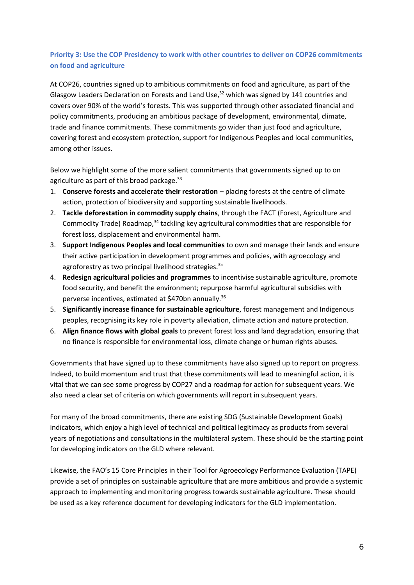# **Priority 3: Use the COP Presidency to work with other countries to deliver on COP26 commitments on food and agriculture**

At COP26, countries signed up to ambitious commitments on food and agriculture, as part of the Glasgow Leaders Declaration on Forests and Land Use, $32$  which was signed by 141 countries and covers over 90% of the world's forests. This was supported through other associated financial and policy commitments, producing an ambitious package of development, environmental, climate, trade and finance commitments. These commitments go wider than just food and agriculture, covering forest and ecosystem protection, support for Indigenous Peoples and local communities, among other issues.

Below we highlight some of the more salient commitments that governments signed up to on agriculture as part of this broad package.<sup>33</sup>

- 1. **Conserve forests and accelerate their restoration** placing forests at the centre of climate action, protection of biodiversity and supporting sustainable livelihoods.
- 2. **Tackle deforestation in commodity supply chains**, through the FACT (Forest, Agriculture and Commodity Trade) Roadmap,<sup>34</sup> tackling key agricultural commodities that are responsible for forest loss, displacement and environmental harm.
- 3. **Support Indigenous Peoples and local communities** to own and manage their lands and ensure their active participation in development programmes and policies, with agroecology and agroforestry as two principal livelihood strategies.<sup>35</sup>
- 4. **Redesign agricultural policies and programmes** to incentivise sustainable agriculture, promote food security, and benefit the environment; repurpose harmful agricultural subsidies with perverse incentives, estimated at \$470bn annually.<sup>36</sup>
- 5. **Significantly increase finance for sustainable agriculture**, forest management and Indigenous peoples, recognising its key role in poverty alleviation, climate action and nature protection.
- 6. **Align finance flows with global goals** to prevent forest loss and land degradation, ensuring that no finance is responsible for environmental loss, climate change or human rights abuses.

Governments that have signed up to these commitments have also signed up to report on progress. Indeed, to build momentum and trust that these commitments will lead to meaningful action, it is vital that we can see some progress by COP27 and a roadmap for action for subsequent years. We also need a clear set of criteria on which governments will report in subsequent years.

For many of the broad commitments, there are existing SDG (Sustainable Development Goals) indicators, which enjoy a high level of technical and political legitimacy as products from several years of negotiations and consultations in the multilateral system. These should be the starting point for developing indicators on the GLD where relevant.

Likewise, the FAO's 15 Core Principles in their Tool for Agroecology Performance Evaluation (TAPE) provide a set of principles on sustainable agriculture that are more ambitious and provide a systemic approach to implementing and monitoring progress towards sustainable agriculture. These should be used as a key reference document for developing indicators for the GLD implementation.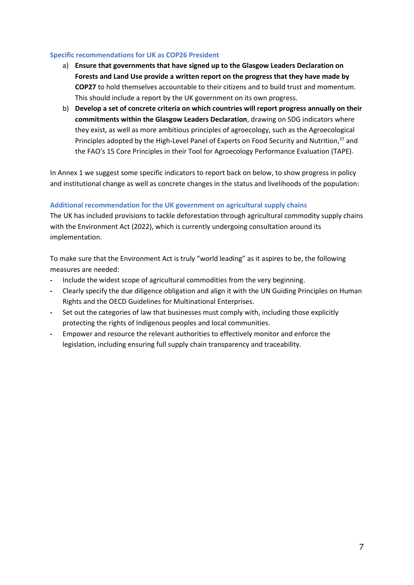#### **Specific recommendations for UK as COP26 President**

- a) **Ensure that governments that have signed up to the Glasgow Leaders Declaration on Forests and Land Use provide a written report on the progress that they have made by COP27** to hold themselves accountable to their citizens and to build trust and momentum. This should include a report by the UK government on its own progress.
- b) **Develop a set of concrete criteria on which countries will report progress annually on their commitments within the Glasgow Leaders Declaration**, drawing on SDG indicators where they exist, as well as more ambitious principles of agroecology, such as the Agroecological Principles adopted by the High-Level Panel of Experts on Food Security and Nutrition,<sup>37</sup> and the FAO's 15 Core Principles in their Tool for Agroecology Performance Evaluation (TAPE).

In Annex 1 we suggest some specific indicators to report back on below, to show progress in policy and institutional change as well as concrete changes in the status and livelihoods of the population:

## **Additional recommendation for the UK government on agricultural supply chains**

The UK has included provisions to tackle deforestation through agricultural commodity supply chains with the Environment Act (2022), which is currently undergoing consultation around its implementation.

To make sure that the Environment Act is truly "world leading" as it aspires to be, the following measures are needed:

- **-** Include the widest scope of agricultural commodities from the very beginning.
- **-** Clearly specify the due diligence obligation and align it with the UN Guiding Principles on Human Rights and the OECD Guidelines for Multinational Enterprises.
- **-** Set out the categories of law that businesses must comply with, including those explicitly protecting the rights of Indigenous peoples and local communities.
- **-** Empower and resource the relevant authorities to effectively monitor and enforce the legislation, including ensuring full supply chain transparency and traceability.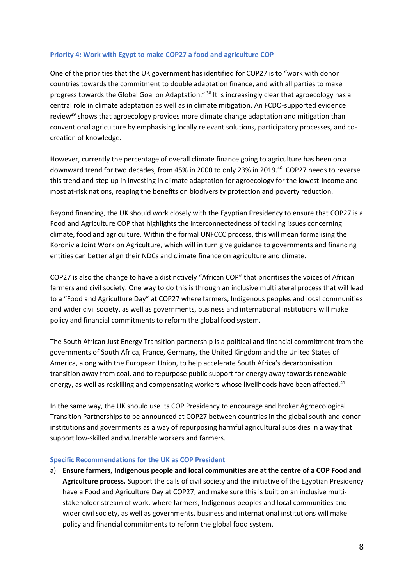#### **Priority 4: Work with Egypt to make COP27 a food and agriculture COP**

One of the priorities that the UK government has identified for COP27 is to "work with donor countries towards the commitment to double adaptation finance, and with all parties to make progress towards the Global Goal on Adaptation." <sup>38</sup> It is increasingly clear that agroecology has a central role in climate adaptation as well as in climate mitigation. An FCDO-supported evidence review<sup>39</sup> shows that agroecology provides more climate change adaptation and mitigation than conventional agriculture by emphasising locally relevant solutions, participatory processes, and cocreation of knowledge.

However, currently the percentage of overall climate finance going to agriculture has been on a downward trend for two decades, from 45% in 2000 to only 23% in 2019.<sup>40</sup> COP27 needs to reverse this trend and step up in investing in climate adaptation for agroecology for the lowest-income and most at-risk nations, reaping the benefits on biodiversity protection and poverty reduction.

Beyond financing, the UK should work closely with the Egyptian Presidency to ensure that COP27 is a Food and Agriculture COP that highlights the interconnectedness of tackling issues concerning climate, food and agriculture. Within the formal UNFCCC process, this will mean formalising the Koronivia Joint Work on Agriculture, which will in turn give guidance to governments and financing entities can better align their NDCs and climate finance on agriculture and climate.

COP27 is also the change to have a distinctively "African COP" that prioritises the voices of African farmers and civil society. One way to do this is through an inclusive multilateral process that will lead to a "Food and Agriculture Day" at COP27 where farmers, Indigenous peoples and local communities and wider civil society, as well as governments, business and international institutions will make policy and financial commitments to reform the global food system.

The South African Just Energy Transition partnership is a political and financial commitment from the governments of South Africa, France, Germany, the United Kingdom and the United States of America, along with the European Union, to help accelerate South Africa's decarbonisation transition away from coal, and to repurpose public support for energy away towards renewable energy, as well as reskilling and compensating workers whose livelihoods have been affected.<sup>41</sup>

In the same way, the UK should use its COP Presidency to encourage and broker Agroecological Transition Partnerships to be announced at COP27 between countries in the global south and donor institutions and governments as a way of repurposing harmful agricultural subsidies in a way that support low-skilled and vulnerable workers and farmers.

#### **Specific Recommendations for the UK as COP President**

a) **Ensure farmers, Indigenous people and local communities are at the centre of a COP Food and Agriculture process.** Support the calls of civil society and the initiative of the Egyptian Presidency have a Food and Agriculture Day at COP27, and make sure this is built on an inclusive multistakeholder stream of work, where farmers, Indigenous peoples and local communities and wider civil society, as well as governments, business and international institutions will make policy and financial commitments to reform the global food system.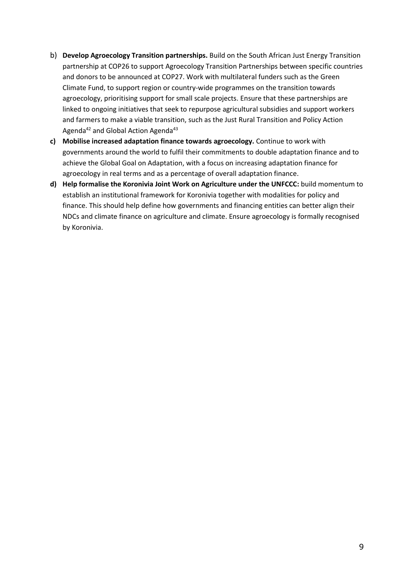- b) **Develop Agroecology Transition partnerships.** Build on the South African Just Energy Transition partnership at COP26 to support Agroecology Transition Partnerships between specific countries and donors to be announced at COP27. Work with multilateral funders such as the Green Climate Fund, to support region or country-wide programmes on the transition towards agroecology, prioritising support for small scale projects. Ensure that these partnerships are linked to ongoing initiatives that seek to repurpose agricultural subsidies and support workers and farmers to make a viable transition, such as the Just Rural Transition and Policy Action Agenda<sup>42</sup> and Global Action Agenda<sup>43</sup>
- **c) Mobilise increased adaptation finance towards agroecology.** Continue to work with governments around the world to fulfil their commitments to double adaptation finance and to achieve the Global Goal on Adaptation, with a focus on increasing adaptation finance for agroecology in real terms and as a percentage of overall adaptation finance.
- **d) Help formalise the Koronivia Joint Work on Agriculture under the UNFCCC:** build momentum to establish an institutional framework for Koronivia together with modalities for policy and finance. This should help define how governments and financing entities can better align their NDCs and climate finance on agriculture and climate. Ensure agroecology is formally recognised by Koronivia.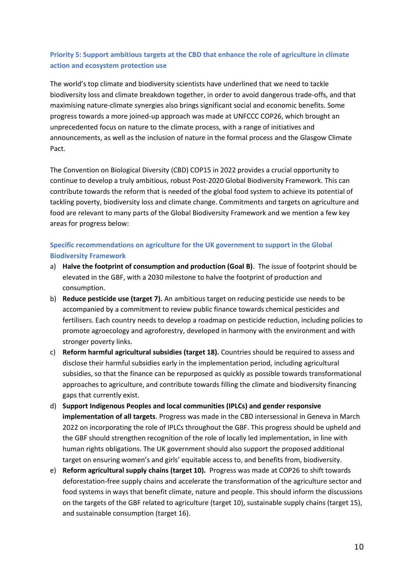# **Priority 5: Support ambitious targets at the CBD that enhance the role of agriculture in climate action and ecosystem protection use**

The world's top climate and biodiversity scientists have underlined that we need to tackle biodiversity loss and climate breakdown together, in order to avoid dangerous trade-offs, and that maximising nature-climate synergies also brings significant social and economic benefits. Some progress towards a more joined-up approach was made at UNFCCC COP26, which brought an unprecedented focus on nature to the climate process, with a range of initiatives and announcements, as well as the inclusion of nature in the formal process and the Glasgow Climate Pact.

The Convention on Biological Diversity (CBD) COP15 in 2022 provides a crucial opportunity to continue to develop a truly ambitious, robust Post-2020 Global Biodiversity Framework. This can contribute towards the reform that is needed of the global food system to achieve its potential of tackling poverty, biodiversity loss and climate change. Commitments and targets on agriculture and food are relevant to many parts of the Global Biodiversity Framework and we mention a few key areas for progress below:

# **Specific recommendations on agriculture for the UK government to support in the Global Biodiversity Framework**

- a) **Halve the footprint of consumption and production (Goal B)**. The issue of footprint should be elevated in the GBF, with a 2030 milestone to halve the footprint of production and consumption.
- b) **Reduce pesticide use (target 7).** An ambitious target on reducing pesticide use needs to be accompanied by a commitment to review public finance towards chemical pesticides and fertilisers. Each country needs to develop a roadmap on pesticide reduction, including policies to promote agroecology and agroforestry, developed in harmony with the environment and with stronger poverty links.
- c) **Reform harmful agricultural subsidies (target 18).** Countries should be required to assess and disclose their harmful subsidies early in the implementation period, including agricultural subsidies, so that the finance can be repurposed as quickly as possible towards transformational approaches to agriculture, and contribute towards filling the climate and biodiversity financing gaps that currently exist.
- d) **Support Indigenous Peoples and local communities (IPLCs) and gender responsive implementation of all targets**. Progress was made in the CBD intersessional in Geneva in March 2022 on incorporating the role of IPLCs throughout the GBF. This progress should be upheld and the GBF should strengthen recognition of the role of locally led implementation, in line with human rights obligations. The UK government should also support the proposed additional target on ensuring women's and girls' equitable access to, and benefits from, biodiversity.
- e) **Reform agricultural supply chains (target 10).** Progress was made at COP26 to shift towards deforestation-free supply chains and accelerate the transformation of the agriculture sector and food systems in ways that benefit climate, nature and people. This should inform the discussions on the targets of the GBF related to agriculture (target 10), sustainable supply chains (target 15), and sustainable consumption (target 16).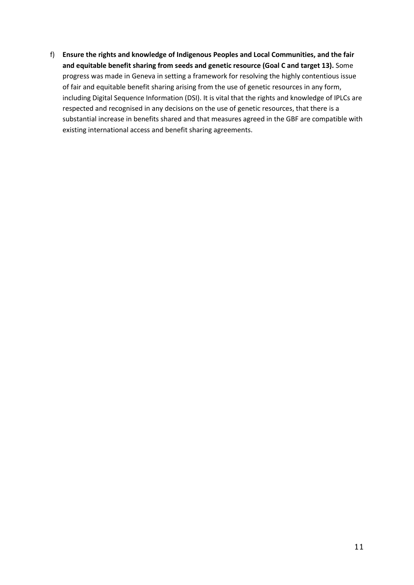f) **Ensure the rights and knowledge of Indigenous Peoples and Local Communities, and the fair and equitable benefit sharing from seeds and genetic resource (Goal C and target 13).** Some progress was made in Geneva in setting a framework for resolving the highly contentious issue of fair and equitable benefit sharing arising from the use of genetic resources in any form, including Digital Sequence Information (DSI). It is vital that the rights and knowledge of IPLCs are respected and recognised in any decisions on the use of genetic resources, that there is a substantial increase in benefits shared and that measures agreed in the GBF are compatible with existing international access and benefit sharing agreements.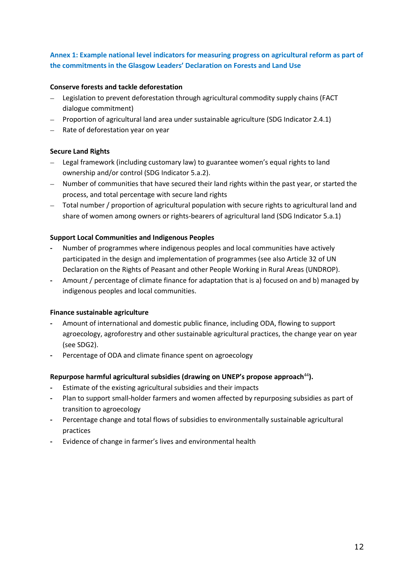## **Annex 1: Example national level indicators for measuring progress on agricultural reform as part of the commitments in the Glasgow Leaders' Declaration on Forests and Land Use**

### **Conserve forests and tackle deforestation**

- − Legislation to prevent deforestation through agricultural commodity supply chains (FACT dialogue commitment)
- − Proportion of agricultural land area under sustainable agriculture (SDG Indicator 2.4.1)
- − Rate of deforestation year on year

## **Secure Land Rights**

- − Legal framework (including customary law) to guarantee women's equal rights to land ownership and/or control (SDG Indicator 5.a.2).
- − Number of communities that have secured their land rights within the past year, or started the process, and total percentage with secure land rights
- − Total number / proportion of agricultural population with secure rights to agricultural land and share of women among owners or rights-bearers of agricultural land (SDG Indicator 5.a.1)

### **Support Local Communities and Indigenous Peoples**

- **-** Number of programmes where indigenous peoples and local communities have actively participated in the design and implementation of programmes (see also Article 32 of UN Declaration on the Rights of Peasant and other People Working in Rural Areas (UNDROP).
- **-** Amount / percentage of climate finance for adaptation that is a) focused on and b) managed by indigenous peoples and local communities.

#### **Finance sustainable agriculture**

- **-** Amount of international and domestic public finance, including ODA, flowing to support agroecology, agroforestry and other sustainable agricultural practices, the change year on year (see SDG2).
- **-** Percentage of ODA and climate finance spent on agroecology

## **Repurpose harmful agricultural subsidies (drawing on UNEP's propose approach**<sup>44</sup>**).**

- **-** Estimate of the existing agricultural subsidies and their impacts
- **-** Plan to support small-holder farmers and women affected by repurposing subsidies as part of transition to agroecology
- **-** Percentage change and total flows of subsidies to environmentally sustainable agricultural practices
- **-** Evidence of change in farmer's lives and environmental health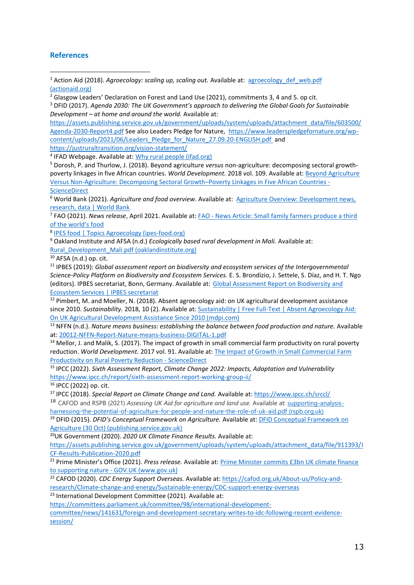### **References**

<sup>1</sup> Action Aid (2018). *Agroecology: scaling up, scaling out.* Available at: agroecology def web.pdf [\(actionaid.org\)](https://actionaid.org/sites/default/files/agroecology_def_web.pdf)

 $\frac{2}{3}$  Glasgow Leaders' Declaration on Forest and Land Use (2021), commitments 3, 4 and 5. op cit.

<sup>3</sup> DFID (2017). *Agenda 2030: The UK Government's approach to delivering the Global Goals for Sustainable Development – at home and around the world.* Available at:

[https://assets.publishing.service.gov.uk/government/uploads/system/uploads/attachment\\_data/file/603500/](https://assets.publishing.service.gov.uk/government/uploads/system/uploads/attachment_data/file/603500/Agenda-2030-Report4.pdf) [Agenda-2030-Report4.pdf](https://assets.publishing.service.gov.uk/government/uploads/system/uploads/attachment_data/file/603500/Agenda-2030-Report4.pdf) See also Leaders Pledge for Nature, [https://www.leaderspledgefornature.org/wp](https://www.leaderspledgefornature.org/wp-content/uploads/2021/06/Leaders_Pledge_for_Nature_27.09.20-ENGLISH.pdf)[content/uploads/2021/06/Leaders\\_Pledge\\_for\\_Nature\\_27.09.20-ENGLISH.pdf](https://www.leaderspledgefornature.org/wp-content/uploads/2021/06/Leaders_Pledge_for_Nature_27.09.20-ENGLISH.pdf) and

<https://justruraltransition.org/vision-statement/>

<sup>4</sup> IFAD Webpage. Available at: **Why rural people (ifad.org)** 

<sup>5</sup> Dorosh, P. and Thurlow, J. (2018). Beyond agriculture *versus* non-agriculture: decomposing sectoral growthpoverty linkages in five African countries. *World Development.* 2018 vol. 109. Available at: [Beyond Agriculture](https://www.sciencedirect.com/science/article/pii/S0305750X1630448X)  [Versus Non-Agriculture: Decomposing Sectoral Growth](https://www.sciencedirect.com/science/article/pii/S0305750X1630448X)–Poverty Linkages in Five African Countries - **[ScienceDirect](https://www.sciencedirect.com/science/article/pii/S0305750X1630448X)** 

<sup>6</sup> World Bank (2021). *Agriculture and food overview*. Available at: [Agriculture Overview: Development news,](https://www.worldbank.org/en/topic/agriculture/overview#1)  [research, data | World Bank](https://www.worldbank.org/en/topic/agriculture/overview#1)

7 FAO (2021). *News release*, April 2021. Available at: FAO - [News Article: Small family farmers produce a third](https://www.fao.org/news/story/en/item/1395127/icode/)  of the [world's food](https://www.fao.org/news/story/en/item/1395127/icode/)

8 **[IPES food | Topics Agroecology \(ipes-food.org\)](http://www.ipes-food.org/topics/Agroecology)** 

<sup>9</sup> Oakland Institute and AFSA (n.d.) *Ecologically based rural development in Mali.* Available at: [Rural\\_Development\\_Mali.pdf \(oaklandinstitute.org\)](https://www.oaklandinstitute.org/sites/oaklandinstitute.org/files/Rural_Development_Mali.pdf)

<sup>10</sup> AFSA (n.d.) op. cit.

<sup>11</sup> IPBES (2019): *Global assessment report on biodiversity and ecosystem services of the Intergovernmental Science-Policy Platform on Biodiversity and Ecosystem Services.* E. S. Brondizio, J. Settele, S. Díaz, and H. T. Ngo (editors). IPBES secretariat, Bonn, Germany. Available at: [Global Assessment Report on Biodiversity and](https://ipbes.net/global-assessment)  [Ecosystem Services | IPBES secretariat](https://ipbes.net/global-assessment)

 $12$  Pimbert, M. and Moeller, N. (2018). Absent agroecology aid: on UK agricultural development assistance since 2010. *Sustainability.* 2018, 10 (2). Available at: [Sustainability | Free Full-Text | Absent Agroecology Aid:](https://www.mdpi.com/2071-1050/10/2/505)  [On UK Agricultural Development Assistance Since 2010 \(mdpi.com\)](https://www.mdpi.com/2071-1050/10/2/505)

<sup>13</sup> NFFN (n.d.). *Nature means business: establishing the balance between food production and nature. Available* at: [20012-NFFN-Report-Nature-means-business-DIGITAL-1.pdf](https://www.nffn.org.uk/wp-content/uploads/2020/10/20012-NFFN-Report-Nature-means-business-DIGITAL-1.pdf)

<sup>14</sup> Mellor, J. and Malik, S. (2017). The impact of growth in small commercial farm productivity on rural poverty reduction. *World Development.* 2017 vol. 91. Available at[: The Impact of Growth in Small Commercial Farm](https://www.sciencedirect.com/science/article/abs/pii/S0305750X16302698?casa_token=q1bQEKqFFl0AAAAA:beYX7AXp3cHvFEuuowVBTJEGhZ1Jk8yUHWiUUtdMZX5PvEAlbVr-i3QEb4yhUvkG1IpZM4uHmofp)  [Productivity on Rural Poverty Reduction -](https://www.sciencedirect.com/science/article/abs/pii/S0305750X16302698?casa_token=q1bQEKqFFl0AAAAA:beYX7AXp3cHvFEuuowVBTJEGhZ1Jk8yUHWiUUtdMZX5PvEAlbVr-i3QEb4yhUvkG1IpZM4uHmofp) ScienceDirect

<sup>15</sup> IPCC (2022). *Sixth Assessment Report, Climate Change 2022: Impacts, Adaptation and Vulnerability* <https://www.ipcc.ch/report/sixth-assessment-report-working-group-ii/>

 $16$  IPCC (2022) op. cit.

<sup>17</sup> IPCC (2018). *Special Report on Climate Change and Land.* Available at[: https://www.ipcc.ch/srccl/](https://www.ipcc.ch/srccl/) <sup>18</sup> CAFOD and RSPB (2021) *Assessing UK Aid for agriculture and land use.* Available at: [supporting-analysis](https://www.rspb.org.uk/globalassets/downloads/documents/conservation--sustainability/supporting-analysis-harnessing-the-potential-of-agriculture-for-people-and-nature-the-role-of-uk-aid.pdf)[harnessing-the-potential-of-agriculture-for-people-and-nature-the-role-of-uk-aid.pdf \(rspb.org.uk\)](https://www.rspb.org.uk/globalassets/downloads/documents/conservation--sustainability/supporting-analysis-harnessing-the-potential-of-agriculture-for-people-and-nature-the-role-of-uk-aid.pdf)

<sup>19</sup> DFID (2015). *DFID's Conceptual Framework on Agriculture.* Available at[: DFID Conceptual Framework on](https://assets.publishing.service.gov.uk/government/uploads/system/uploads/attachment_data/file/472999/Conceptual-Framework-Agriculture2.pdf)  [Agriculture \(30 Oct\) \(publishing.service.gov.uk\)](https://assets.publishing.service.gov.uk/government/uploads/system/uploads/attachment_data/file/472999/Conceptual-Framework-Agriculture2.pdf)

<sup>20</sup>UK Government (2020). *2020 UK Climate Finance Results.* Available at:

[https://assets.publishing.service.gov.uk/government/uploads/system/uploads/attachment\\_data/file/911393/I](https://assets.publishing.service.gov.uk/government/uploads/system/uploads/attachment_data/file/911393/ICF-Results-Publication-2020.pdf) [CF-Results-Publication-2020.pdf](https://assets.publishing.service.gov.uk/government/uploads/system/uploads/attachment_data/file/911393/ICF-Results-Publication-2020.pdf)

<sup>21</sup> Prime Minister's Office (2021). *Press release.* Available at: [Prime Minister commits £3bn UK climate finance](https://www.gov.uk/government/news/prime-minister-commits-3bn-uk-climate-finance-to-supporting-nature)  to supporting nature - [GOV.UK \(www.gov.uk\)](https://www.gov.uk/government/news/prime-minister-commits-3bn-uk-climate-finance-to-supporting-nature)

<sup>22</sup> CAFOD (2020). *CDC Energy Support Overseas.* Available at: [https://cafod.org.uk/About-us/Policy-and](https://cafod.org.uk/About-us/Policy-and-research/Climate-change-and-energy/Sustainable-energy/CDC-support-energy-overseas)[research/Climate-change-and-energy/Sustainable-energy/CDC-support-energy-overseas](https://cafod.org.uk/About-us/Policy-and-research/Climate-change-and-energy/Sustainable-energy/CDC-support-energy-overseas)

<sup>23</sup> International Development Committee (2021). Available at:

[https://committees.parliament.uk/committee/98/international-development-](https://committees.parliament.uk/committee/98/international-development-committee/news/141631/foreign-and-development-secretary-writes-to-idc-following-recent-evidence-session/)

[committee/news/141631/foreign-and-development-secretary-writes-to-idc-following-recent-evidence](https://committees.parliament.uk/committee/98/international-development-committee/news/141631/foreign-and-development-secretary-writes-to-idc-following-recent-evidence-session/)[session/](https://committees.parliament.uk/committee/98/international-development-committee/news/141631/foreign-and-development-secretary-writes-to-idc-following-recent-evidence-session/)